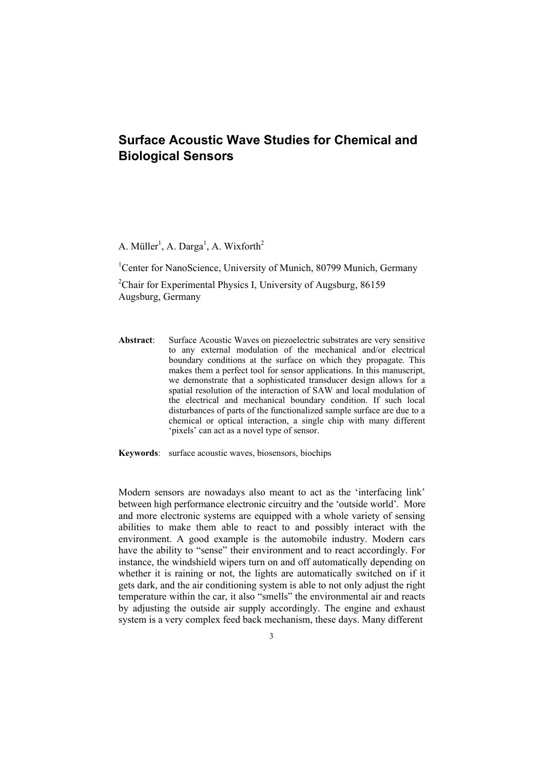## **Surface Acoustic Wave Studies for Chemical and Biological Sensors**

A. Müller<sup>1</sup>, A. Darga<sup>1</sup>, A. Wixforth<sup>2</sup>

<sup>1</sup>Center for NanoScience, University of Munich, 80799 Munich, Germany

<sup>2</sup>Chair for Experimental Physics I, University of Augsburg, 86159 Augsburg, Germany

**Abstract**: Surface Acoustic Waves on piezoelectric substrates are very sensitive to any external modulation of the mechanical and/or electrical boundary conditions at the surface on which they propagate. This makes them a perfect tool for sensor applications. In this manuscript, we demonstrate that a sophisticated transducer design allows for a spatial resolution of the interaction of SAW and local modulation of the electrical and mechanical boundary condition. If such local disturbances of parts of the functionalized sample surface are due to a chemical or optical interaction, a single chip with many different 'pixels' can act as a novel type of sensor.

**Keywords**: surface acoustic waves, biosensors, biochips

Modern sensors are nowadays also meant to act as the 'interfacing link' and more electronic systems are equipped with a whole variety of sensing abilities to make them able to react to and possibly interact with the environment. A good example is the automobile industry. Modern cars have the ability to "sense" their environment and to react accordingly. For instance, the windshield wipers turn on and off automatically depending on whether it is raining or not, the lights are automatically switched on if it gets dark, and the air conditioning system is able to not only adjust the right temperature within the car, it also "smells" the environmental air and reacts by adjusting the outside air supply accordingly. The engine and exhaust system is a very complex feed back mechanism, these days. Many different between high performance electronic circuitry and the 'outside world'. More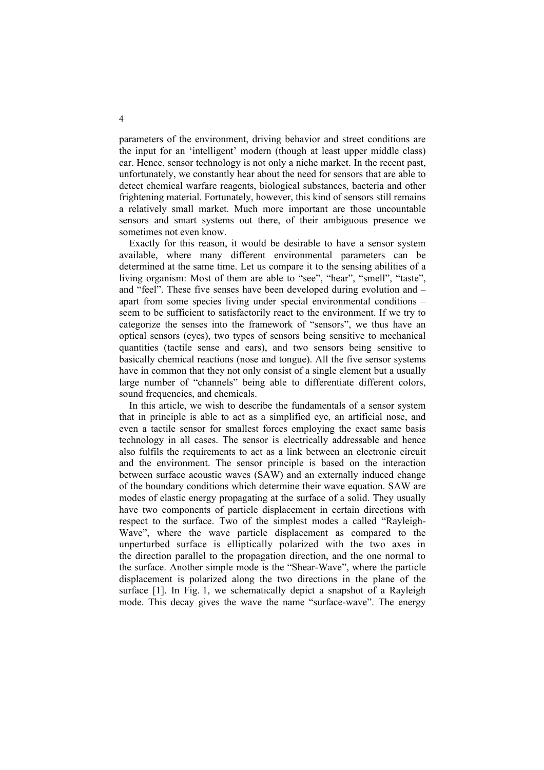parameters of the environment, driving behavior and street conditions are the input for an 'intelligent' modern (though at least upper middle class) car. Hence, sensor technology is not only a niche market. In the recent past, unfortunately, we constantly hear about the need for sensors that are able to detect chemical warfare reagents, biological substances, bacteria and other frightening material. Fortunately, however, this kind of sensors still remains a relatively small market. Much more important are those uncountable sensors and smart systems out there, of their ambiguous presence we sometimes not even know.

Exactly for this reason, it would be desirable to have a sensor system available, where many different environmental parameters can be determined at the same time. Let us compare it to the sensing abilities of a living organism: Most of them are able to "see", "hear", "smell", "taste", and "feel". These five senses have been developed during evolution and – apart from some species living under special environmental conditions – seem to be sufficient to satisfactorily react to the environment. If we try to categorize the senses into the framework of "sensors", we thus have an optical sensors (eyes), two types of sensors being sensitive to mechanical quantities (tactile sense and ears), and two sensors being sensitive to basically chemical reactions (nose and tongue). All the five sensor systems have in common that they not only consist of a single element but a usually large number of "channels" being able to differentiate different colors, sound frequencies, and chemicals.

In this article, we wish to describe the fundamentals of a sensor system that in principle is able to act as a simplified eye, an artificial nose, and even a tactile sensor for smallest forces employing the exact same basis technology in all cases. The sensor is electrically addressable and hence also fulfils the requirements to act as a link between an electronic circuit and the environment. The sensor principle is based on the interaction between surface acoustic waves (SAW) and an externally induced change of the boundary conditions which determine their wave equation. SAW are modes of elastic energy propagating at the surface of a solid. They usually have two components of particle displacement in certain directions with respect to the surface. Two of the simplest modes a called "Rayleighdisplacement is polarized along the two directions in the plane of the surface [1]. In Fig. 1, we schematically depict a snapshot of a Rayleigh unperturbed surface is elliptically polarized with the two axes in the surface. Another simple mode is the "Shear-Wave", where the particle Wave", where the wave particle displacement as compared to the the direction parallel to the propagation direction, and the one normal to mode. This decay gives the wave the name "surface-wave". The energy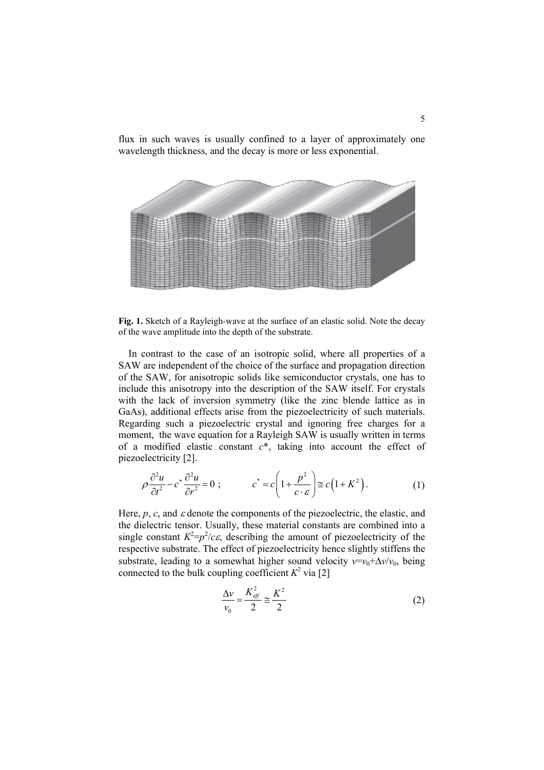

flux in such waves is usually confined to a layer of approximately one wavelength thickness, and the decay is more or less exponential.

**Fig. 1.** Sketch of a Rayleigh-wave at the surface of an elastic solid. Note the decay of the wave amplitude into the depth of the substrate.

In contrast to the case of an isotropic solid, where all properties of a SAW are independent of the choice of the surface and propagation direction of the SAW, for anisotropic solids like semiconductor crystals, one has to include this anisotropy into the description of the SAW itself. For crystals with the lack of inversion symmetry (like the zinc blende lattice as in GaAs), additional effects arise from the piezoelectricity of such materials. Regarding such a piezoelectric crystal and ignoring free charges for a moment, the wave equation for a Rayleigh SAW is usually written in terms of a modified elastic constant *c*\*, taking into account the effect of piezoelectricity [2].

$$
\rho \frac{\partial^2 u}{\partial t^2} - c^* \frac{\partial^2 u}{\partial r^2} = 0 \; ; \qquad c^* = c \left( 1 + \frac{p^2}{c \cdot \varepsilon} \right) \cong c \left( 1 + K^2 \right). \tag{1}
$$

Here,  $p$ ,  $c$ , and  $\varepsilon$  denote the components of the piezoelectric, the elastic, and the dielectric tensor. Usually, these material constants are combined into a single constant  $K^2 = p^2/c\varepsilon$ , describing the amount of piezoelectricity of the respective substrate. The effect of piezoelectricity hence slightly stiffens the substrate, leading to a somewhat higher sound velocity  $v=v_0+\Delta v/v_0$ , being connected to the bulk coupling coefficient  $K^2$  via [2]

$$
\frac{\Delta v}{v_0} = \frac{K_{\text{eff}}^2}{2} \approx \frac{K^2}{2}
$$
 (2)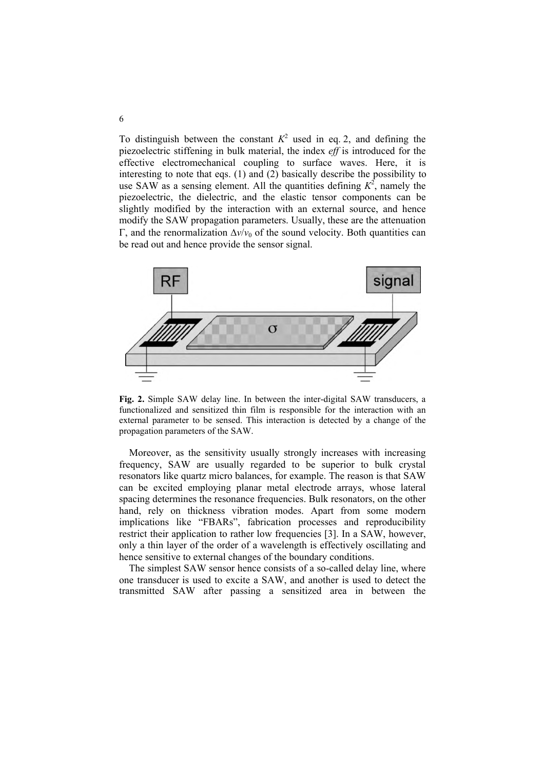To distinguish between the constant  $K^2$  used in eq. 2, and defining the piezoelectric stiffening in bulk material, the index *eff* is introduced for the effective electromechanical coupling to surface waves. Here, it is use SAW as a sensing element. All the quantities defining  $K^2$ , namely the piezoelectric, the dielectric, and the elastic tensor components can be slightly modified by the interaction with an external source, and hence modify the SAW propagation parameters. Usually, these are the attenuation Γ, and the renormalization  $Δv/v_0$  of the sound velocity. Both quantities can be read out and hence provide the sensor signal. interesting to note that eqs. (1) and (2) basically describe the possibility to



**Fig. 2.** Simple SAW delay line. In between the inter-digital SAW transducers, a functionalized and sensitized thin film is responsible for the interaction with an external parameter to be sensed. This interaction is detected by a change of the propagation parameters of the SAW.

Moreover, as the sensitivity usually strongly increases with increasing frequency, SAW are usually regarded to be superior to bulk crystal resonators like quartz micro balances, for example. The reason is that SAW can be excited employing planar metal electrode arrays, whose lateral spacing determines the resonance frequencies. Bulk resonators, on the other hand, rely on thickness vibration modes. Apart from some modern implications like "FBARs", fabrication processes and reproducibility restrict their application to rather low frequencies [3]. In a SAW, however, only a thin layer of the order of a wavelength is effectively oscillating and hence sensitive to external changes of the boundary conditions.

The simplest SAW sensor hence consists of a so-called delay line, where one transducer is used to excite a SAW, and another is used to detect the transmitted SAW after passing a sensitized area in between the

6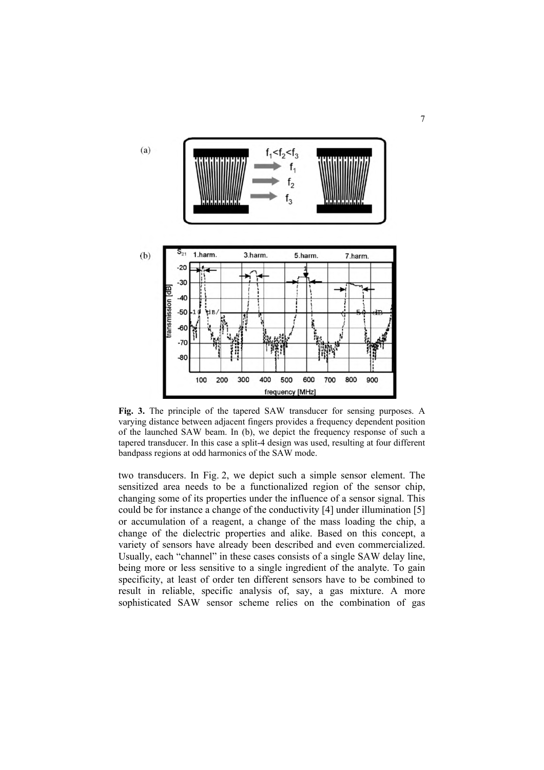

**Fig. 3.** The principle of the tapered SAW transducer for sensing purposes. A varying distance between adjacent fingers provides a frequency dependent position of the launched SAW beam. In (b), we depict the frequency response of such a tapered transducer. In this case a split-4 design was used, resulting at four different bandpass regions at odd harmonics of the SAW mode.

two transducers. In Fig. 2, we depict such a simple sensor element. The sensitized area needs to be a functionalized region of the sensor chip, changing some of its properties under the influence of a sensor signal. This could be for instance a change of the conductivity [4] under illumination [5] or accumulation of a reagent, a change of the mass loading the chip, a change of the dielectric properties and alike. Based on this concept, a variety of sensors have already been described and even commercialized. Usually, each "channel" in these cases consists of a single SAW delay line, being more or less sensitive to a single ingredient of the analyte. To gain specificity, at least of order ten different sensors have to be combined to result in reliable, specific analysis of, say, a gas mixture. A more sophisticated SAW sensor scheme relies on the combination of gas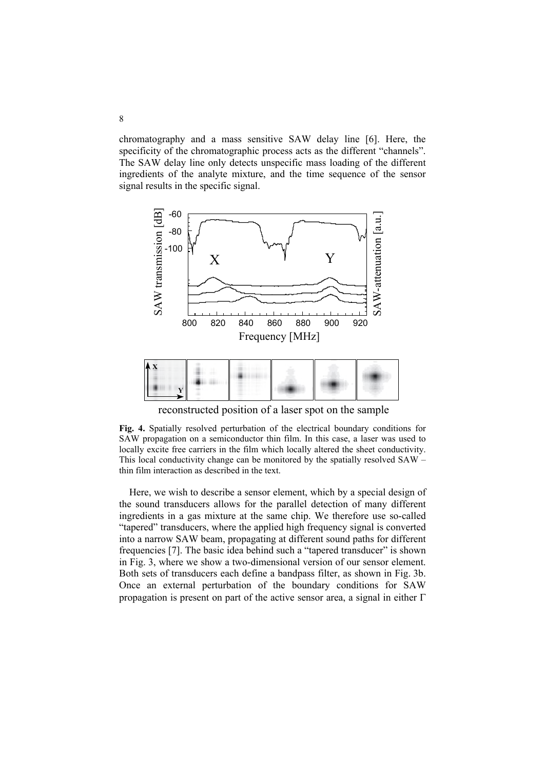chromatography and a mass sensitive SAW delay line [6]. Here, the specificity of the chromatographic process acts as the different "channels". The SAW delay line only detects unspecific mass loading of the different ingredients of the analyte mixture, and the time sequence of the sensor signal results in the specific signal.



reconstructed position of a laser spot on the sample

**Fig. 4.** Spatially resolved perturbation of the electrical boundary conditions for SAW propagation on a semiconductor thin film. In this case, a laser was used to locally excite free carriers in the film which locally altered the sheet conductivity. This local conductivity change can be monitored by the spatially resolved SAW – thin film interaction as described in the text.

Here, we wish to describe a sensor element, which by a special design of the sound transducers allows for the parallel detection of many different ingredients in a gas mixture at the same chip. We therefore use so-called "tapered" transducers, where the applied high frequency signal is converted into a narrow SAW beam, propagating at different sound paths for different frequencies [7]. The basic idea behind such a "tapered transducer" is shown in Fig. 3, where we show a two-dimensional version of our sensor element. Both sets of transducers each define a bandpass filter, as shown in Fig. 3b. Once an external perturbation of the boundary conditions for SAW propagation is present on part of the active sensor area, a signal in either Γ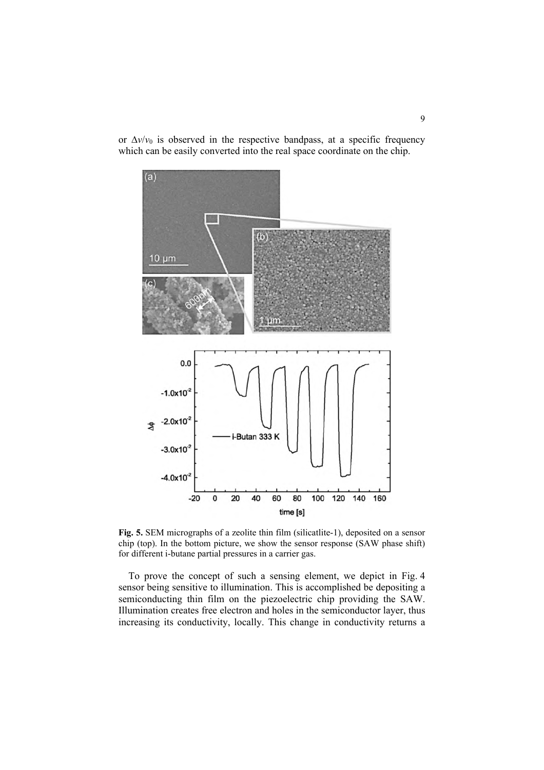$(a)$  $(b)$  $10 \mu m$  $0.0$  $-1.0x10^{-2}$  $-2.0x10$  $\frac{\Phi}{\Phi}$ i-Butan 333 K  $-3.0x10^{-7}$  $-4.0x10^{-2}$  $-20$  $\mathbf 0$ 20 40 60 80 100 120 140 160 time [s]

or  $\Delta v/v_0$  is observed in the respective bandpass, at a specific frequency which can be easily converted into the real space coordinate on the chip.

**Fig. 5.** SEM micrographs of a zeolite thin film (silicatlite-1), deposited on a sensor chip (top). In the bottom picture, we show the sensor response (SAW phase shift) for different i-butane partial pressures in a carrier gas.

To prove the concept of such a sensing element, we depict in Fig. 4 sensor being sensitive to illumination. This is accomplished be depositing a semiconducting thin film on the piezoelectric chip providing the SAW. Illumination creates free electron and holes in the semiconductor layer, thus increasing its conductivity, locally. This change in conductivity returns a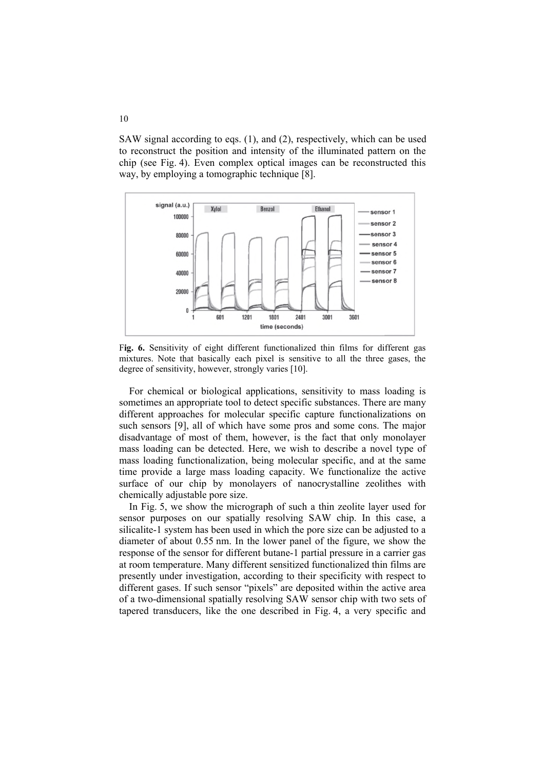to reconstruct the position and intensity of the illuminated pattern on the chip (see Fig. 4). Even complex optical images can be reconstructed this way, by employing a tomographic technique [8]. SAW signal according to eqs. (1), and (2), respectively, which can be used



F**ig. 6.** Sensitivity of eight different functionalized thin films for different gas mixtures. Note that basically each pixel is sensitive to all the three gases, the degree of sensitivity, however, strongly varies [10].

For chemical or biological applications, sensitivity to mass loading is sometimes an appropriate tool to detect specific substances. There are many different approaches for molecular specific capture functionalizations on such sensors [9], all of which have some pros and some cons. The major disadvantage of most of them, however, is the fact that only monolayer mass loading can be detected. Here, we wish to describe a novel type of mass loading functionalization, being molecular specific, and at the same time provide a large mass loading capacity. We functionalize the active surface of our chip by monolayers of nanocrystalline zeolithes with chemically adjustable pore size.

In Fig. 5, we show the micrograph of such a thin zeolite layer used for sensor purposes on our spatially resolving SAW chip. In this case, a silicalite-1 system has been used in which the pore size can be adjusted to a diameter of about 0.55 nm. In the lower panel of the figure, we show the response of the sensor for different butane-1 partial pressure in a carrier gas at room temperature. Many different sensitized functionalized thin films are presently under investigation, according to their specificity with respect to different gases. If such sensor "pixels" are deposited within the active area of a two-dimensional spatially resolving SAW sensor chip with two sets of tapered transducers, like the one described in Fig. 4, a very specific and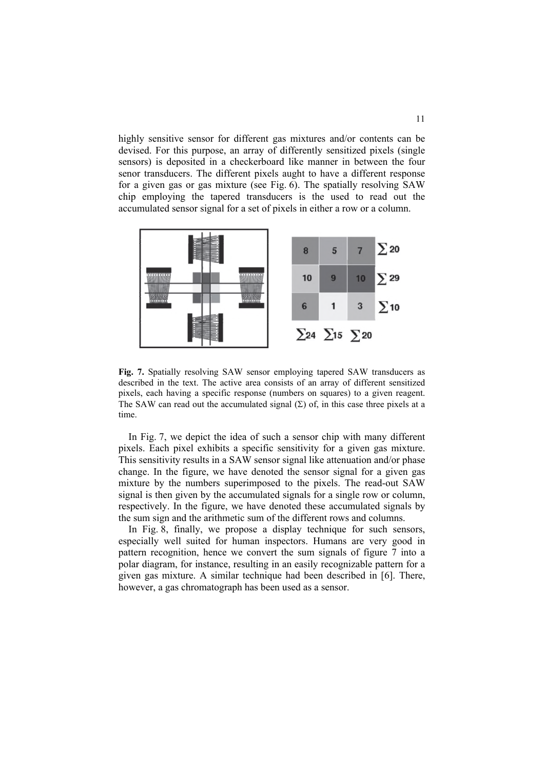highly sensitive sensor for different gas mixtures and/or contents can be devised. For this purpose, an array of differently sensitized pixels (single sensors) is deposited in a checkerboard like manner in between the four senor transducers. The different pixels aught to have a different response for a given gas or gas mixture (see Fig. 6). The spatially resolving SAW chip employing the tapered transducers is the used to read out the accumulated sensor signal for a set of pixels in either a row or a column.



**Fig. 7.** Spatially resolving SAW sensor employing tapered SAW transducers as described in the text. The active area consists of an array of different sensitized pixels, each having a specific response (numbers on squares) to a given reagent. The SAW can read out the accumulated signal  $(\Sigma)$  of, in this case three pixels at a time.

In Fig. 7, we depict the idea of such a sensor chip with many different pixels. Each pixel exhibits a specific sensitivity for a given gas mixture. This sensitivity results in a SAW sensor signal like attenuation and/or phase change. In the figure, we have denoted the sensor signal for a given gas mixture by the numbers superimposed to the pixels. The read-out SAW signal is then given by the accumulated signals for a single row or column, respectively. In the figure, we have denoted these accumulated signals by the sum sign and the arithmetic sum of the different rows and columns.

In Fig. 8, finally, we propose a display technique for such sensors, especially well suited for human inspectors. Humans are very good in pattern recognition, hence we convert the sum signals of figure 7 into a polar diagram, for instance, resulting in an easily recognizable pattern for a given gas mixture. A similar technique had been described in [6]. There, however, a gas chromatograph has been used as a sensor.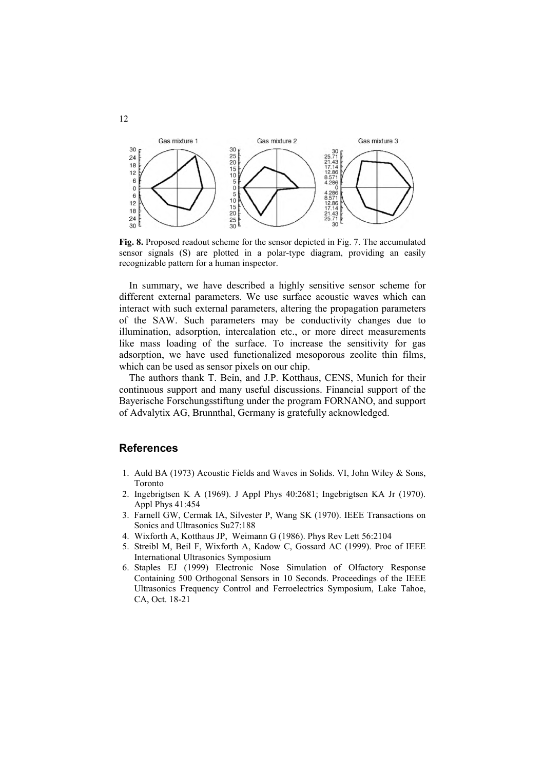

**Fig. 8.** Proposed readout scheme for the sensor depicted in Fig. 7. The accumulated sensor signals (S) are plotted in a polar-type diagram, providing an easily recognizable pattern for a human inspector.

In summary, we have described a highly sensitive sensor scheme for different external parameters. We use surface acoustic waves which can interact with such external parameters, altering the propagation parameters of the SAW. Such parameters may be conductivity changes due to illumination, adsorption, intercalation etc., or more direct measurements like mass loading of the surface. To increase the sensitivity for gas adsorption, we have used functionalized mesoporous zeolite thin films, which can be used as sensor pixels on our chip.

The authors thank T. Bein, and J.P. Kotthaus, CENS, Munich for their continuous support and many useful discussions. Financial support of the Bayerische Forschungsstiftung under the program FORNANO, and support of Advalytix AG, Brunnthal, Germany is gratefully acknowledged.

## **References**

12

- 1. Auld BA (1973) Acoustic Fields and Waves in Solids. VI, John Wiley & Sons, Toronto
- 2. Ingebrigtsen K A (1969). J Appl Phys 40:2681; Ingebrigtsen KA Jr (1970). Appl Phys 41:454
- 3. Farnell GW, Cermak IA, Silvester P, Wang SK (1970). IEEE Transactions on Sonics and Ultrasonics Su27:188
- 4. Wixforth A, Kotthaus JP, Weimann G (1986). Phys Rev Lett 56:2104
- 5. Streibl M, Beil F, Wixforth A, Kadow C, Gossard AC (1999). Proc of IEEE International Ultrasonics Symposium
- 6. Staples EJ (1999) Electronic Nose Simulation of Olfactory Response Containing 500 Orthogonal Sensors in 10 Seconds. Proceedings of the IEEE Ultrasonics Frequency Control and Ferroelectrics Symposium, Lake Tahoe, CA, Oct. 18-21